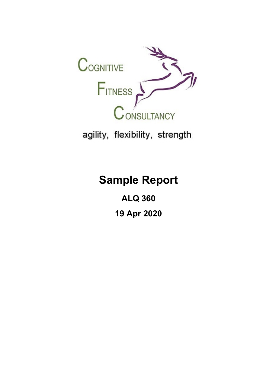

agility, flexibility, strength

# **Sample Report**

**ALQ 360 19 Apr 2020**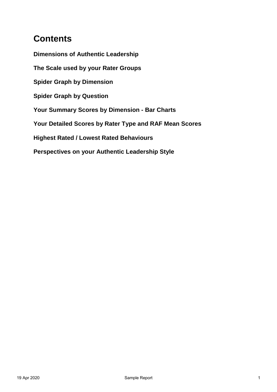## **Contents**

**Dimensions of Authentic Leadership The Scale used by your Rater Groups Spider Graph by Dimension Spider Graph by Question Your Summary Scores by Dimension - Bar Charts Your Detailed Scores by Rater Type and RAF Mean Scores Highest Rated / Lowest Rated Behaviours Perspectives on your Authentic Leadership Style**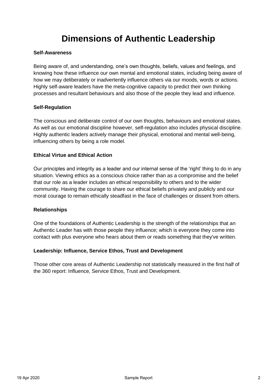## **Dimensions of Authentic Leadership**

#### **[Self-Awareness](https://www1.online360.net/admin/BuildCompetencies/competencyView.asp?cmp_ID=6080)**

Being aware of, and understanding, one's own thoughts, beliefs, values and feelings, and knowing how these influence our own mental and emotional states, including being aware of how we may deliberately or inadvertently influence others via our moods, words or actions. Highly self-aware leaders have the meta-cognitive capacity to predict their own thinking processes and resultant behaviours and also those of the people they lead and influence.

#### **[Self-Regulation](https://www1.online360.net/admin/BuildCompetencies/competencyView.asp?cmp_ID=6081)**

The conscious and deliberate control of our own thoughts, behaviours and emotional states. As well as our emotional discipline however, self-regulation also includes physical discipline. Highly authentic leaders actively manage their physical, emotional and mental well-being, influencing others by being a role model.

#### **[Ethical Virtue and Ethical Action](https://www1.online360.net/admin/BuildCompetencies/competencyView.asp?cmp_ID=6082)**

Our principles and integrity as a leader and our internal sense of the 'right' thing to do in any situation. Viewing ethics as a conscious choice rather than as a compromise and the belief that our role as a leader includes an ethical responsibility to others and to the wider community. Having the courage to share our ethical beliefs privately and publicly and our moral courage to remain ethically steadfast in the face of challenges or dissent from others.

#### **[Relationships](https://www1.online360.net/admin/BuildCompetencies/competencyView.asp?cmp_ID=6089)**

One of the foundations of Authentic Leadership is the strength of the relationships that an Authentic Leader has with those people they influence; which is everyone they come into contact with plus everyone who hears about them or reads something that they've written.

#### **[Leadership: Influence, Service Ethos, Trust and Development](https://www1.online360.net/admin/BuildCompetencies/competencyView.asp?cmp_ID=6090)**

Those other core areas of Authentic Leadership not statistically measured in the first half of the 360 report: Influence, Service Ethos, Trust and Development.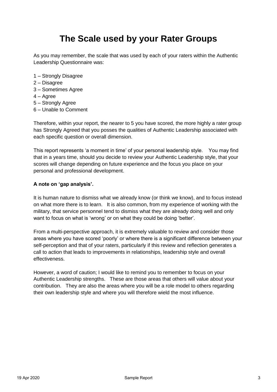## **The Scale used by your Rater Groups**

As you may remember, the scale that was used by each of your raters within the Authentic Leadership Questionnaire was:

- 1 Strongly Disagree
- 2 Disagree
- 3 Sometimes Agree
- 4 Agree
- 5 Strongly Agree
- 6 Unable to Comment

Therefore, within your report, the nearer to 5 you have scored, the more highly a rater group has Strongly Agreed that you posses the qualities of Authentic Leadership associated with each specific question or overall dimension.

This report represents 'a moment in time' of your personal leadership style. You may find that in a years time, should you decide to review your Authentic Leadership style, that your scores will change depending on future experience and the focus you place on your personal and professional development.

#### **A note on 'gap analysis'.**

It is human nature to dismiss what we already know (or think we know), and to focus instead on what more there is to learn. It is also common, from my experience of working with the military, that service personnel tend to dismiss what they are already doing well and only want to focus on what is 'wrong' or on what they could be doing 'better'.

From a multi-perspective approach, it is extremely valuable to review and consider those areas where you have scored 'poorly' or where there is a significant difference between your self-perception and that of your raters, particularly if this review and reflection generates a call to action that leads to improvements in relationships, leadership style and overall effectiveness.

However, a word of caution; I would like to remind you to remember to focus on your Authentic Leadership strengths. These are those areas that others will value about your contribution. They are also the areas where you will be a role model to others regarding their own leadership style and where you will therefore wield the most influence.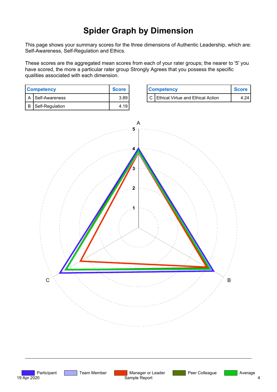## **Spider Graph by Dimension**

**This page shows your summary scores for the three dimensions of Authentic Leadership, which are: Self-Awareness, Self-Regulation and Ethics.**

**These scores are the aggregated mean scores from each of your rater groups; the nearer to '5' you have scored, the more a particular rater group Strongly Agrees that you possess the specific qualities associated with each dimension.**

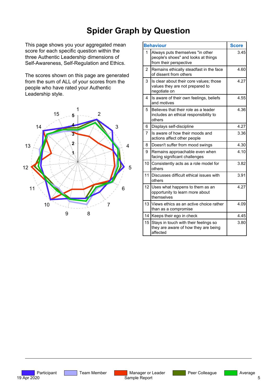## **Spider Graph by Question**

**This page shows you your aggregated mean score for each specific question within the three Authentic Leadership dimensions of Self-Awareness, Self-Regulation and Ethics.**

**The scores shown on this page are generated from the sum of ALL of your scores from the people who have rated your Authentic Leadership style.**



|                 | <b>Behaviour</b>                                                                                  | <b>Score</b> |
|-----------------|---------------------------------------------------------------------------------------------------|--------------|
| 1               | Always puts themselves "in other<br>people's shoes" and looks at things<br>from their perspective | 3.45         |
| 2               | Remains ethically steadfast in the face<br>of dissent from others                                 | 4.60         |
| 3               | Is clear about their core values; those<br>values they are not prepared to<br>negotiate on        | 4.27         |
| 4               | Is aware of their own feelings, beliefs<br>and motives                                            | 4.55         |
| 5.              | Believes that their role as a leader<br>includes an ethical responsibility to<br>others           | 4.36         |
| 6               | Displays self-discipline                                                                          | 4.27         |
| 7               | Is aware of how their moods and<br>actions affect other people                                    | 3.36         |
| 8               | Doesn't suffer from mood swings                                                                   | 4.30         |
| 9               | Remains approachable even when<br>facing significant challenges                                   | 4.10         |
| 10              | Consistently acts as a role model for<br>others                                                   | 3.82         |
| 11              | Discusses difficult ethical issues with<br>others                                                 | 3.91         |
| 12 <sup>2</sup> | Uses what happens to them as an<br>opportunity to learn more about<br>themselves                  | 4.27         |
| 13              | Views ethics as an active choice rather<br>than as a compromise                                   | 4.09         |
| 14              | Keeps their ego in check                                                                          | 4.45         |
| 15              | Stays in touch with their feelings so<br>they are aware of how they are being<br>affected         | 3.80         |

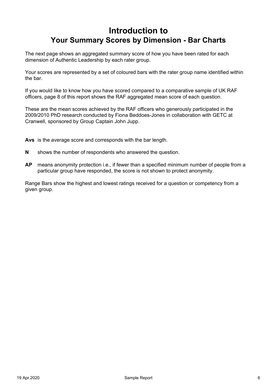### **Introduction to Your Summary Scores by Dimension - Bar Charts**

**The next page shows an aggregated summary score of how you have been rated for each dimension of Authentic Leadership by each rater group.** 

**Your scores are represented by a set of coloured bars with the rater group name identified within the bar.**

**If you would like to know how you have scored compared to a comparative sample of UK RAF officers, page 8 of this report shows the RAF aggregated mean score of each question.** 

**These are the mean scores achieved by the RAF officers who generously participated in the 2009/2010 PhD research conducted by Fiona Beddoes-Jones in collaboration with GETC at Cranwell, sponsored by Group Captain John Jupp.**

**Avs is the average score and corresponds with the bar length.**

- **N shows the number of respondents who answered the question.**
- **AP means anonymity protection i.e., if fewer than a specified minimum number of people from a particular group have responded, the score is not shown to protect anonymity.**

**Range Bars show the highest and lowest ratings received for a question or competency from a given group.**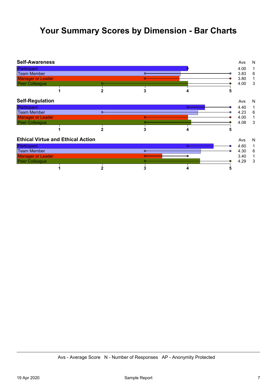### **Your Summary Scores by Dimension - Bar Charts**

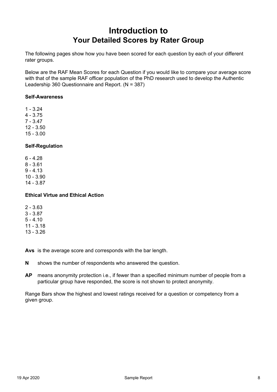### **Introduction to Your Detailed Scores by Rater Group**

**The following pages show how you have been scored for each question by each of your different rater groups.**

**Below are the RAF Mean Scores for each Question if you would like to compare your average score with that of the sample RAF officer population of the PhD research used to develop the Authentic Leadership 360 Questionnaire and Report. (N = 387)**

#### **Self-Awareness**

**1 - 3.24 4 - 3.75 7 - 3.47 12 - 3.50 15 - 3.00**

#### **Self-Regulation**

**6 - 4.28 8 - 3.61 9 - 4.13 10 - 3.90 14 - 3.87**

#### **Ethical Virtue and Ethical Action**

**2 - 3.63 3 - 3.87 5 - 4.10 11 - 3.18 13 - 3.26**

**Avs is the average score and corresponds with the bar length.**

- **N shows the number of respondents who answered the question.**
- **AP means anonymity protection i.e., if fewer than a specified minimum number of people from a particular group have responded, the score is not shown to protect anonymity.**

**Range Bars show the highest and lowest ratings received for a question or competency from a given group.**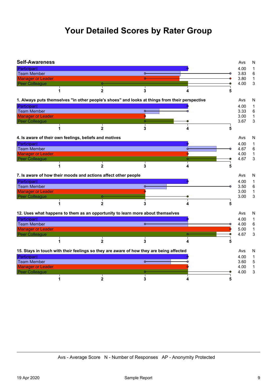## **Your Detailed Scores by Rater Group**

| <b>Self-Awareness</b>    |                                                        |                                                                |                                                                                                |   |   | Avs               | N              |
|--------------------------|--------------------------------------------------------|----------------------------------------------------------------|------------------------------------------------------------------------------------------------|---|---|-------------------|----------------|
| Participant              |                                                        |                                                                |                                                                                                |   |   | 4.00              | 1              |
| Team Member              |                                                        |                                                                | $\circ$                                                                                        |   |   | 3.83              | 6              |
| <b>Manager or Leader</b> |                                                        |                                                                |                                                                                                |   |   | 3.80              | $\mathbf{1}$   |
| Peer Colleague           |                                                        |                                                                |                                                                                                |   |   | 4.00              | $\mathsf 3$    |
|                          |                                                        | $\mathbf{2}$                                                   | 3                                                                                              | 4 | 5 |                   |                |
|                          |                                                        |                                                                | 1. Always puts themselves "in other people's shoes" and looks at things from their perspective |   |   | Avs               | N              |
| Participant              |                                                        |                                                                |                                                                                                |   |   | 4.00              | 1              |
| Team Member              |                                                        |                                                                | $\circ$                                                                                        |   |   | 3.33              | $\,6\,$        |
| <b>Manager or Leader</b> |                                                        |                                                                |                                                                                                |   |   | 3.00 <sub>1</sub> | $\mathbf{1}$   |
| Peer Colleague           |                                                        |                                                                |                                                                                                |   |   | 3.67              | 3              |
|                          |                                                        | $\mathbf{2}$                                                   | 3                                                                                              | 4 | 5 |                   |                |
|                          | 4. Is aware of their own feelings, beliefs and motives |                                                                |                                                                                                |   |   | Avs               | N              |
| Participant              |                                                        |                                                                |                                                                                                |   |   | 4.00              | $\mathbf{1}$   |
| Team Member              |                                                        |                                                                |                                                                                                | Ô |   | 4.67              | $6\phantom{a}$ |
| <b>Manager or Leader</b> |                                                        |                                                                |                                                                                                |   |   | 4.00              | $\mathbf{1}$   |
| Peer Colleague           |                                                        |                                                                |                                                                                                |   |   | 4.67              | 3              |
|                          |                                                        | $\mathbf{2}$                                                   | 3                                                                                              | 4 |   |                   |                |
|                          |                                                        | 7. Is aware of how their moods and actions affect other people |                                                                                                |   |   | Avs               | N              |
| Participant              |                                                        |                                                                |                                                                                                |   |   | 4.00              | $\mathbf{1}$   |
| Team Member              |                                                        |                                                                |                                                                                                |   |   | 3.50              | $\,6$          |
| <b>Manager or Leader</b> |                                                        |                                                                |                                                                                                |   |   | 3.00              | $\mathbf{1}$   |
| Peer Colleague           |                                                        |                                                                |                                                                                                |   |   | 3.00              | 3              |
|                          | 1                                                      | 2                                                              | 3                                                                                              | 4 | 5 |                   |                |
|                          |                                                        |                                                                | 12. Uses what happens to them as an opportunity to learn more about themselves                 |   |   | Avs               | N              |
| Participant              |                                                        |                                                                |                                                                                                |   |   | 4.00              | 1              |
| <b>Team Member</b>       |                                                        |                                                                | $\circ$                                                                                        |   |   | 4.00              | $6\phantom{1}$ |
| <b>Manager or Leader</b> |                                                        |                                                                |                                                                                                |   |   | 5.00              | $\mathbf{1}$   |
| Peer Colleague           |                                                        |                                                                |                                                                                                |   |   | 4.67              | $\sqrt{3}$     |
|                          | 1                                                      | $\mathbf{2}$                                                   | 3                                                                                              | 4 |   |                   |                |
|                          |                                                        |                                                                | 15. Stays in touch with their feelings so they are aware of how they are being affected        |   |   | Avs               | N              |
| Participant              |                                                        |                                                                |                                                                                                |   |   | 4.00              | $\mathbf{1}$   |
| <b>Team Member</b>       |                                                        |                                                                | $\circ$                                                                                        |   |   | 3.60              | 5              |
| <b>Manager or Leader</b> |                                                        |                                                                |                                                                                                |   |   | 4.00              | $\mathbf{1}$   |
| Peer Colleague           |                                                        |                                                                |                                                                                                |   |   | 4.00              | 3              |
|                          |                                                        | $\mathbf{2}$                                                   | 3                                                                                              |   |   |                   |                |

**Avs - Average Score N - Number of Responses AP - Anonymity Protected**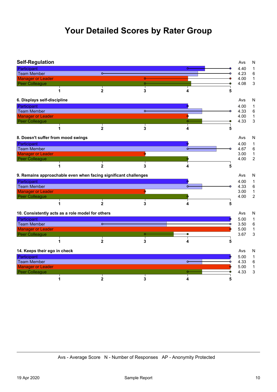## **Your Detailed Scores by Rater Group**

| <b>Self-Regulation</b>             |   |                                                                 |         |           | Avs  | N                       |
|------------------------------------|---|-----------------------------------------------------------------|---------|-----------|------|-------------------------|
| Participant                        |   |                                                                 |         | $\circ$   | 4.40 | 1                       |
| <b>Team Member</b>                 |   | $\sim$                                                          |         |           | 4.23 | 6                       |
| <b>Manager or Leader</b>           |   |                                                                 | Õ       |           | 4.00 | $\mathbf 1$             |
| Peer Colleague                     |   |                                                                 | $\circ$ |           | 4.08 | 3                       |
|                                    | 1 | $\mathbf{2}$                                                    | 3       | 4         | 5    |                         |
| 6. Displays self-discipline        |   |                                                                 |         |           | Avs  | N                       |
| Participant                        |   |                                                                 |         |           | 4.00 | 1                       |
| <b>Team Member</b>                 |   |                                                                 | $\circ$ |           | 4.33 | 6                       |
| <b>Manager or Leader</b>           |   |                                                                 |         | ٥         | 4.00 | $\mathbf{1}$            |
| Peer Colleague                     |   |                                                                 |         | $\bullet$ | 4.33 | 3                       |
|                                    | 1 | $\overline{2}$                                                  | 3       | 4         | 5    |                         |
| 8. Doesn't suffer from mood swings |   |                                                                 |         |           | Avs  | N                       |
| Participant                        |   |                                                                 |         |           | 4.00 | $\mathbf{1}$            |
| <b>Team Member</b>                 |   |                                                                 |         | $\circ$   | 4.67 | 6                       |
| <b>Manager or Leader</b>           |   |                                                                 |         |           | 3.00 | $\mathbf{1}$            |
| Peer Colleague                     |   |                                                                 |         |           | 4.00 | $\overline{\mathbf{c}}$ |
|                                    | 1 | $\mathbf 2$                                                     | 3       |           | 5    |                         |
|                                    |   | 9. Remains approachable even when facing significant challenges |         |           | Avs  | N                       |
| Participant                        |   |                                                                 |         |           | 4.00 | 1                       |
| <b>Team Member</b>                 |   |                                                                 |         | $\sim$    | 4.33 | 6                       |
| <b>Manager or Leader</b>           |   |                                                                 |         |           | 3.00 | $\mathbf{1}$            |
| Peer Colleague                     |   |                                                                 |         |           | 4.00 | $\overline{c}$          |
|                                    | 1 | $\overline{2}$                                                  | 3       |           | 5    |                         |
|                                    |   | 10. Consistently acts as a role model for others                |         |           | Avs  | N                       |
| Participant                        |   |                                                                 |         |           | 5.00 | $\mathbf{1}$            |
| <b>Team Member</b>                 |   | $\circ$                                                         |         |           | 3.50 | 6                       |
| <b>Manager or Leader</b>           |   |                                                                 |         |           | 5.00 | 1                       |
| Peer Colleague                     |   |                                                                 | $\circ$ |           | 3.67 | 3                       |
|                                    | 1 | $\mathbf{2}$                                                    | 3       |           | 5    |                         |
| 14. Keeps their ego in check       |   |                                                                 |         |           | Avs  | N                       |
| Participant                        |   |                                                                 |         |           | 5.00 | $\mathbf{1}$            |
| <b>Team Member</b>                 |   |                                                                 |         | $\circ$   | 4.33 | 6                       |
| <b>Manager or Leader</b>           |   |                                                                 |         |           | 5.00 | $\mathbf 1$             |
| Peer Colleague                     |   |                                                                 |         |           | 4.33 | 3                       |
|                                    | 1 | $\overline{2}$                                                  | 3       | 4         | 5    |                         |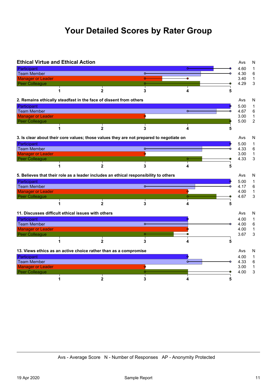## **Your Detailed Scores by Rater Group**

|                          | <b>Ethical Virtue and Ethical Action</b> |                                                                                         |                                                                                      |          |   | Avs          | N                 |
|--------------------------|------------------------------------------|-----------------------------------------------------------------------------------------|--------------------------------------------------------------------------------------|----------|---|--------------|-------------------|
| Participant              |                                          |                                                                                         |                                                                                      | $\Omega$ |   | 4.60         | 1                 |
| Team Member              |                                          |                                                                                         | $\circ$                                                                              |          |   | 4.30         | 6                 |
| <b>Manager or Leader</b> |                                          |                                                                                         | Ō                                                                                    | ۰        |   | 3.40         | $\mathbf{1}$      |
| Peer Colleague           |                                          |                                                                                         | Ō-                                                                                   |          |   | 4.29         | 3                 |
|                          | 1                                        | $\mathbf{2}$                                                                            | 3                                                                                    | 4        | 5 |              |                   |
|                          |                                          | 2. Remains ethically steadfast in the face of dissent from others                       |                                                                                      |          |   | Avs          | N                 |
| Participant              |                                          |                                                                                         |                                                                                      |          |   | 5.00         | $\mathbf 1$       |
| Team Member              |                                          |                                                                                         |                                                                                      | $\circ$  |   | 4.67         | 6                 |
| <b>Manager or Leader</b> |                                          |                                                                                         |                                                                                      |          |   | 3.00         | $\mathbf 1$       |
| Peer Colleague           |                                          |                                                                                         |                                                                                      |          |   | 5.00         | $\overline{2}$    |
|                          |                                          | $\mathbf{2}$                                                                            | 3                                                                                    | 4        |   |              |                   |
|                          |                                          | 3. Is clear about their core values; those values they are not prepared to negotiate on |                                                                                      |          |   | Avs          | N                 |
| Participant              |                                          |                                                                                         |                                                                                      |          |   | 5.00         | $\mathbf{1}$      |
| Team Member              |                                          |                                                                                         | $\circ$                                                                              |          |   | 4.33         | $\,6$             |
| <b>Manager or Leader</b> |                                          |                                                                                         |                                                                                      |          |   | 3.00         | $\mathbf 1$       |
| Peer Colleague           |                                          |                                                                                         |                                                                                      |          |   | 4.33         | 3                 |
|                          |                                          | $\overline{2}$                                                                          | 3                                                                                    | 4        | 5 |              |                   |
|                          |                                          |                                                                                         |                                                                                      |          |   |              |                   |
|                          |                                          |                                                                                         |                                                                                      |          |   | Avs          |                   |
|                          |                                          |                                                                                         | 5. Believes that their role as a leader includes an ethical responsibility to others |          |   |              | N<br>$\mathbf{1}$ |
| Participant              |                                          |                                                                                         | $\sim$                                                                               |          |   | 5.00<br>4.17 |                   |
| Team Member              |                                          |                                                                                         |                                                                                      |          |   |              | 6                 |
| <b>Manager or Leader</b> |                                          |                                                                                         |                                                                                      |          |   | 4.00         |                   |
| Peer Colleague           |                                          |                                                                                         |                                                                                      |          |   | 4.67         |                   |
|                          | 1                                        | $\mathbf{2}$                                                                            | 3                                                                                    | 4        | 5 |              | $\mathbf 1$<br>3  |
|                          |                                          | 11. Discusses difficult ethical issues with others                                      |                                                                                      |          |   | Avs          | N                 |
|                          |                                          |                                                                                         |                                                                                      |          |   | 4.00         | 1                 |
| Participant              |                                          |                                                                                         | $\circ$                                                                              |          |   | 4.00         | 6                 |
| Team Member              |                                          |                                                                                         |                                                                                      |          |   | 4.00         | $\mathbf 1$       |
| <b>Manager or Leader</b> |                                          |                                                                                         | $\circ$                                                                              |          |   |              |                   |
| Peer Colleague           | 1                                        | $\overline{2}$                                                                          | 3                                                                                    |          | 5 | 3.67         |                   |
|                          |                                          |                                                                                         |                                                                                      |          |   |              | $\mathsf 3$       |
|                          |                                          | 13. Views ethics as an active choice rather than as a compromise                        |                                                                                      |          |   | Avs          | N                 |
| Participant              |                                          |                                                                                         |                                                                                      |          |   | 4.00         | 1                 |
| Team Member              |                                          |                                                                                         |                                                                                      |          |   | 4.33         | 6                 |
| <b>Manager or Leader</b> |                                          |                                                                                         |                                                                                      |          |   | 3.00         | $\mathbf 1$       |
| Peer Colleague           |                                          |                                                                                         |                                                                                      |          |   | 4.00         | 3                 |

**Avs - Average Score N - Number of Responses AP - Anonymity Protected**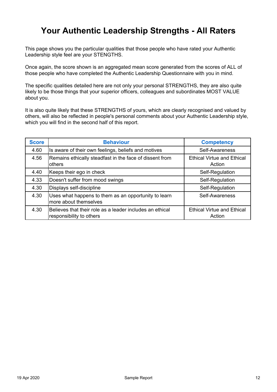### **Your Authentic Leadership Strengths - All Raters**

**This page shows you the particular qualities that those people who have rated your Authentic Leadership style feel are your STENGTHS.**

**Once again, the score shown is an aggregated mean score generated from the scores of ALL of those people who have completed the Authentic Leadership Questionnaire with you in mind.**

**The specific qualities detailed here are not only your personal STRENGTHS, they are also quite likely to be those things that your superior officers, colleagues and subordinates MOST VALUE about you.**

**It is also quite likely that these STRENGTHS of yours, which are clearly recognised and valued by others, will also be reflected in people's personal comments about your Authentic Leadership style, which you will find in the second half of this report.**

| <b>Score</b> | <b>Behaviour</b>                                                                     | <b>Competency</b>                           |
|--------------|--------------------------------------------------------------------------------------|---------------------------------------------|
| 4.60         | Is aware of their own feelings, beliefs and motives                                  | Self-Awareness                              |
| 4.56         | Remains ethically steadfast in the face of dissent from<br>others                    | <b>Ethical Virtue and Ethical</b><br>Action |
| 4.40         | Keeps their ego in check                                                             | Self-Regulation                             |
| 4.33         | Doesn't suffer from mood swings                                                      | Self-Regulation                             |
| 4.30         | Displays self-discipline                                                             | Self-Regulation                             |
| 4.30         | Uses what happens to them as an opportunity to learn<br>more about themselves        | Self-Awareness                              |
| 4.30         | Believes that their role as a leader includes an ethical<br>responsibility to others | <b>Ethical Virtue and Ethical</b><br>Action |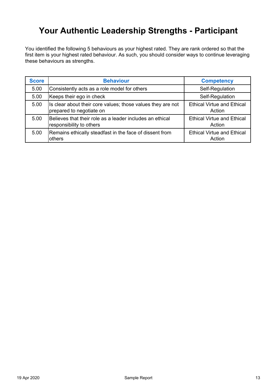### **Your Authentic Leadership Strengths - Participant**

**You identified the following 5 behaviours as your highest rated. They are rank ordered so that the first item is your highest rated behaviour. As such, you should consider ways to continue leveraging these behaviours as strengths.**

| <b>Score</b> | <b>Behaviour</b>                                                                        | <b>Competency</b>                           |
|--------------|-----------------------------------------------------------------------------------------|---------------------------------------------|
| 5.00         | Consistently acts as a role model for others                                            | Self-Regulation                             |
| 5.00         | Keeps their ego in check                                                                | Self-Regulation                             |
| 5.00         | Is clear about their core values; those values they are not<br>prepared to negotiate on | <b>Ethical Virtue and Ethical</b><br>Action |
| 5.00         | Believes that their role as a leader includes an ethical<br>responsibility to others    | <b>Ethical Virtue and Ethical</b><br>Action |
| 5.00         | Remains ethically steadfast in the face of dissent from<br>others                       | <b>Ethical Virtue and Ethical</b><br>Action |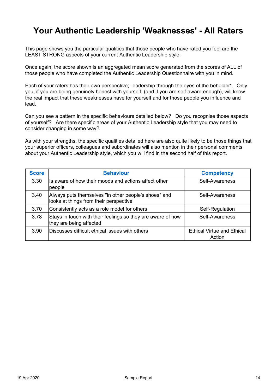### **Your Authentic Leadership 'Weaknesses' - All Raters**

**This page shows you the particular qualities that those people who have rated you feel are the LEAST STRONG aspects of your current Authentic Leadership style.**

**Once again, the score shown is an aggregated mean score generated from the scores of ALL of those people who have completed the Authentic Leadership Questionnaire with you in mind.**

**Each of your raters has their own perspective; 'leadership through the eyes of the beholder'. Only you, if you are being genuinely honest with yourself, (and if you are self-aware enough), will know the real impact that these weaknesses have for yourself and for those people you influence and lead.**

**Can you see a pattern in the specific behaviours detailed below? Do you recognise those aspects of yourself? Are there specific areas of your Authentic Leadership style that you may need to consider changing in some way?** 

**As with your strengths, the specific qualities detailed here are also quite likely to be those things that your superior officers, colleagues and subordinates will also mention in their personal comments about your Authentic Leadership style, which you will find in the second half of this report.**

| <b>Score</b> | <b>Behaviour</b>                                                                               | <b>Competency</b>                           |
|--------------|------------------------------------------------------------------------------------------------|---------------------------------------------|
| 3.30         | Is aware of how their moods and actions affect other<br>people                                 | Self-Awareness                              |
| 3.40         | Always puts themselves "in other people's shoes" and<br>looks at things from their perspective | Self-Awareness                              |
| 3.70         | Consistently acts as a role model for others                                                   | Self-Regulation                             |
| 3.78         | Stays in touch with their feelings so they are aware of how<br>they are being affected         | Self-Awareness                              |
| 3.90         | Discusses difficult ethical issues with others                                                 | <b>Ethical Virtue and Ethical</b><br>Action |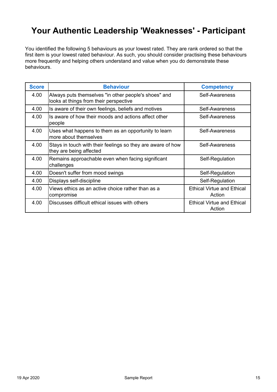### **Your Authentic Leadership 'Weaknesses' - Participant**

**You identified the following 5 behaviours as your lowest rated. They are rank ordered so that the first item is your lowest rated behaviour. As such, you should consider practising these behaviours more frequently and helping others understand and value when you do demonstrate these behaviours.**

| <b>Score</b> | <b>Behaviour</b>                                                                               | <b>Competency</b>                           |
|--------------|------------------------------------------------------------------------------------------------|---------------------------------------------|
| 4.00         | Always puts themselves "in other people's shoes" and<br>looks at things from their perspective | Self-Awareness                              |
| 4.00         | Is aware of their own feelings, beliefs and motives                                            | Self-Awareness                              |
| 4.00         | Is aware of how their moods and actions affect other<br>people                                 | Self-Awareness                              |
| 4.00         | Uses what happens to them as an opportunity to learn<br>more about themselves                  | Self-Awareness                              |
| 4.00         | Stays in touch with their feelings so they are aware of how<br>they are being affected         | Self-Awareness                              |
| 4.00         | Remains approachable even when facing significant<br>challenges                                | Self-Regulation                             |
| 4.00         | Doesn't suffer from mood swings                                                                | Self-Regulation                             |
| 4.00         | Displays self-discipline                                                                       | Self-Regulation                             |
| 4.00         | Views ethics as an active choice rather than as a<br>compromise                                | <b>Ethical Virtue and Ethical</b><br>Action |
| 4.00         | Discusses difficult ethical issues with others                                                 | <b>Ethical Virtue and Ethical</b><br>Action |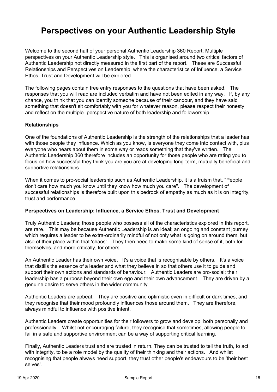**Welcome to the second half of your personal Authentic Leadership 360 Report; Multiple perspectives on your Authentic Leadership style. This is organised around two critical factors of Authentic Leadership not directly measured in the first part of the report. These are Successful Relationships and Perspectives on Leadership, where the characteristics of Influence, a Service Ethos, Trust and Development will be explored.**

**The following pages contain free entry responses to the questions that have been asked. The responses that you will read are included verbatim and have not been edited in any way. If, by any chance, you think that you can identify someone because of their candour, and they have said something that doesn't sit comfortably with you for whatever reason, please respect their honesty, and reflect on the multiple- perspective nature of both leadership and followership.**

#### **Relationships**

**One of the foundations of Authentic Leadership is the strength of the relationships that a leader has with those people they influence. Which as you know, is everyone they come into contact with, plus everyone who hears about them in some way or reads something that they've written. The Authentic Leadership 360 therefore includes an opportunity for those people who are rating you to focus on how successful they think you are you are at developing long-term, mutually beneficial and supportive relationships.**

**When it comes to pro-social leadership such as Authentic Leadership, it is a truism that, "People don't care how much you know until they know how much you care". The development of successful relationships is therefore built upon this bedrock of empathy as much as it is on integrity, trust and performance.**

#### **Perspectives on Leadership: Influence, a Service Ethos, Trust and Development**

**Truly Authentic Leaders; those people who possess all of the characteristics explored in this report, are rare. This may be because Authentic Leadership is an ideal; an ongoing and constant journey which requires a leader to be extra-ordinarily mindful of not only what is going on around them, but also of their place within that 'chaos'. They then need to make some kind of sense of it, both for themselves, and more critically, for others.** 

**An Authentic Leader has their own voice. It's a voice that is recognisable by others. It's a voice that distills the essence of a leader and what they believe in so that others use it to guide and support their own actions and standards of behaviour. Authentic Leaders are pro-social; their leadership has a purpose beyond their own ego and their own advancement. They are driven by a genuine desire to serve others in the wider community.**

**Authentic Leaders are upbeat. They are positive and optimistic even in difficult or dark times, and they recognise that their mood profoundly influences those around them. They are therefore, always mindful to influence with positive intent.**

**Authentic Leaders create opportunities for their followers to grow and develop, both personally and professionally. Whilst not encouraging failure, they recognise that sometimes, allowing people to fail in a safe and supportive environment can be a way of supporting critical learning.**

**Finally, Authentic Leaders trust and are trusted in return. They can be trusted to tell the truth, to act with integrity, to be a role model by the quality of their thinking and their actions. And whilst recognising that people always need support, they trust other people's endeavours to be 'their best selves'.**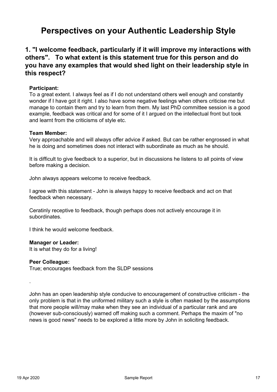### **1. "I welcome feedback, particularly if it will improve my interactions with others". To what extent is this statement true for this person and do you have any examples that would shed light on their leadership style in this respect?**

#### **Participant:**

**To a great extent. I always feel as if I do not understand others well enough and constantly wonder if I have got it right. I also have some negative feelings when others criticise me but manage to contain them and try to learn from them. My last PhD committee session is a good example, feedback was critical and for some of it I argued on the intellectual front but took and learnt from the criticisms of style etc.**

#### **Team Member:**

**Very approachable and will always offer advice if asked. But can be rather engrossed in what he is doing and sometimes does not interact with subordinate as much as he should.**

**It is difficult to give feedback to a superior, but in discussions he listens to all points of view before making a decision.**

**John always appears welcome to receive feedback.**

**I agree with this statement - John is always happy to receive feedback and act on that feedback when necessary.**

**Ceratinly receptive to feedback, though perhaps does not actively encourage it in subordinates.**

**I think he would welcome feedback.**

#### **Manager or Leader:**

**It is what they do for a living!**

#### **Peer Colleague:**

**True; encourages feedback from the SLDP sessions**

**.**

**John has an open leadership style conducive to encouragement of constructive criticism - the only problem is that in the uniformed military such a style is often masked by the assumptions that more people will/may make when they see an individual of a particular rank and are (however sub-consciously) warned off making such a comment. Perhaps the maxim of "no news is good news" needs to be explored a little more by John in soliciting feedback.**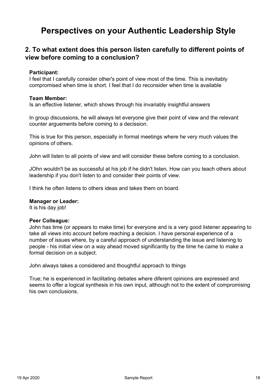### **2. To what extent does this person listen carefully to different points of view before coming to a conclusion?**

#### **Participant:**

**I feel that I carefully consider other's point of view most of the time. This is inevitably compromised when time is short. I feel that I do reconsider when time is available**

#### **Team Member:**

**Is an effective listener, which shows through his invariably insightful answers**

**In group discussions, he will always let everyone give their point of view and the relevant counter arguements before coming to a decission.**

**This is true for this person, especially in formal meetings where he very much values the opinions of others.**

**John will listen to all points of view and will consider these before coming to a conclusion.**

**JOhn wouldn't be as successful at his job if he didn't listen. How can you teach others about leadership if you don't listen to and consider their points of view.**

**I think he often listens to others ideas and takes them on board.**

#### **Manager or Leader:**

**It is his day job!**

#### **Peer Colleague:**

**John has time (or appears to make time) for everyone and is a very good listener appearing to take all views into account before reaching a decision. I have personal experience of a number of issues where, by a careful approach of understanding the issue and listening to people - his initial view on a way ahead moved significantly by the time he came to make a formal decision on a subject.**

**John always takes a considered and thoughtful approach to things**

**True; he is experienced in facilitating debates where diferent opinions are expressed and seems to offer a logical synthesis in his own input, although not to the extent of compromising his own conclusions.**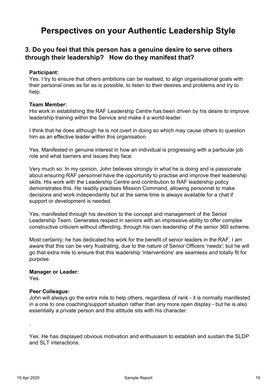### **3. Do you feel that this person has a genuine desire to serve others through their leadership? How do they manifest that?**

#### **Participant:**

**Yes. I try to ensure that others ambitions can be realised, to align organisational goals with their personal ones as far as is possible, to listen to their desires and problems and try to help.**

#### **Team Member:**

**His work in establishing the RAF Leadership Centre has been driven by his desire to improve leadership training within the Service and make it a world-leader.**

**I think that he does although he is not overt in doing so which may cause others to question him as an effective leader within this organisation.**

**Yes. Manifested in genuine interest in how an individual is progressing with a particular job role and what barriers and issues they face.**

**Very much so. In my opinion, John believes strongly in what he is doing and is passionate about ensuring RAF personnel have the opportunity to practise and improve their leadership skills. His work with the Leadership Centre and contribution to RAF leadership policy demonstrates this. He readily practises Mission Command, allowing personnel to make decisions and work independantly but at the same time is always available for a chat if support or development is needed.**

**Yes, manifested through his devotion to the concept and management of the Senior Leadership Team. Generates respect in seniors with an impressive ability to offer complex constructive criticism without offending, through his own leadership of the senior 360 scheme.**

**Most certainly; he has dedicated his work for the benefit of senior leaders in the RAF. I am aware that this can be very frustrating, due to the nature of Senior Officers 'needs'; but he will go that extra mile to ensure that this leadership 'interventions' are seamless and totally fit for purpose.**

#### **Manager or Leader:**

**Yes.**

#### **Peer Colleague:**

**John will always go the extra mile to help others, regardless of rank - it is normally manifested in a one to one coaching/support situation rather than any more open display - but he is also essentially a private person and this attitude sits with his character.**

**Yes. He has displayed obvious motivation and enthusiasm to establish and sustain the SLDP and SLT interactions.**

**.**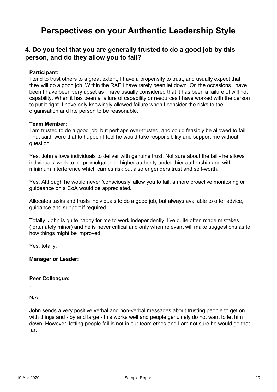### **4. Do you feel that you are generally trusted to do a good job by this person, and do they allow you to fail?**

#### **Participant:**

**I tend to trust others to a great extent, I have a propensity to trust, and usually expect that they will do a good job. Within the RAF I have rarely been let down. On the occasions I have been I have been very upset as I have usually considered that it has been a failure of will not capability. When it has been a failure of capability or resources I have worked with the person to put it right. I have only knowingly allowed failure when I consider the risks to the organisation and hte person to be reasonable.**

#### **Team Member:**

**I am trusted to do a good job, but perhaps over-trusted, and could feasibly be allowed to fail. That said, were that to happen I feel he would take responsibility and support me without question.**

**Yes, John allows individuals to deliver with genuine trust. Not sure about the fail - he allows individuals' work to be promulgated to higher authority under thier authorship and with minimum interference which carries risk but also engenders trust and self-worth.**

**Yes. Although he would never 'consciously' allow you to fail, a more proactive monitoring or guideance on a CoA would be appreciated.**

**Allocates tasks and trusts individuals to do a good job, but always available to offer advice, guidance and support if required.**

**Totally. John is quite happy for me to work independently. I've quite often made mistakes (fortunately minor) and he is never critical and only when relevant will make suggestions as to how things might be improved.**

**Yes, totally.**

#### **Manager or Leader:**

**..**

**.**

#### **Peer Colleague:**

**N/A.**

**John sends a very positive verbal and non-verbal messages about trusting people to get on with things and - by and large - this works well and people genuinely do not want to let him down. However, letting people fail is not in our team ethos and I am not sure he would go that far.**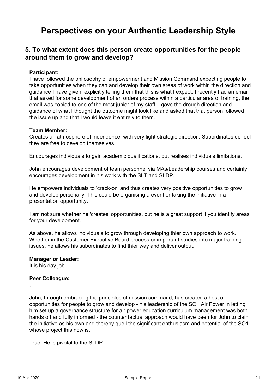### **5. To what extent does this person create opportunities for the people around them to grow and develop?**

#### **Participant:**

**I have followed the philosophy of empowerment and Mission Command expecting people to take opportunities when they can and develop their own areas of work within the direction and guidance I have given, explicitly telling them that this is what I expect. I recently had an email that asked for some development of an orders process within a particular area of training, the email was copied to one of the most junior of my staff. I gave the drough direction and guidance of what I thought the outcome might look like and asked that that person followed the issue up and that I would leave it entirely to them.**

#### **Team Member:**

**Creates an atmosphere of indendence, with very light strategic direction. Subordinates do feel they are free to develop themselves.**

**Encourages individuals to gain academic qualifications, but realises individuals limitations.**

**John encourages development of team personnel via MAs/Leadership courses and certainly encourages development in his work with the SLT and SLDP.**

**He empowers individuals to 'crack-on' and thus creates very positive opportunities to grow and develop personally. This could be organising a event or taking the initiative in a presentation opportunity.**

**I am not sure whether he 'creates' opportunities, but he is a great support if you identify areas for your development.**

**As above, he allows individuals to grow through developing thier own approach to work. Whether in the Customer Executive Board process or important studies into major training issues, he allows his subordinates to find thier way and deliver output.**

#### **Manager or Leader:**

**It is his day job**

#### **Peer Colleague:**

**John, through embracing the principles of mission command, has created a host of opportunities for people to grow and develop - his leadership of the SO1 Air Power in letting him set up a governance structure for air power education curriculum management was both hands off and fully informed - the counter factual approach would have been for John to clain the initiative as his own and thereby quell the significant enthusiasm and potential of the SO1 whose project this now is.**

**True. He is pivotal to the SLDP.**

**.**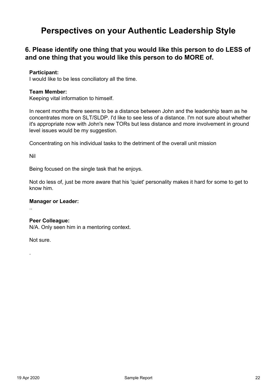### **6. Please identify one thing that you would like this person to do LESS of and one thing that you would like this person to do MORE of.**

#### **Participant:**

**I would like to be less conciliatory all the time.**

#### **Team Member:**

**Keeping vital information to himself.**

**In recent months there seems to be a distance between John and the leadership team as he concentrates more on SLT/SLDP. I'd like to see less of a distance. I'm not sure about whether it's appropriate now with John's new TORs but less distance and more involvement in ground level issues would be my suggestion.**

**Concentrating on his individual tasks to the detriment of the overall unit mission**

**Nil**

**..**

**.**

**Being focused on the single task that he enjoys.**

**Not do less of, just be more aware that his 'quiet' personality makes it hard for some to get to know him.**

#### **Manager or Leader:**

#### **Peer Colleague:**

**N/A. Only seen him in a mentoring context.**

**Not sure.**